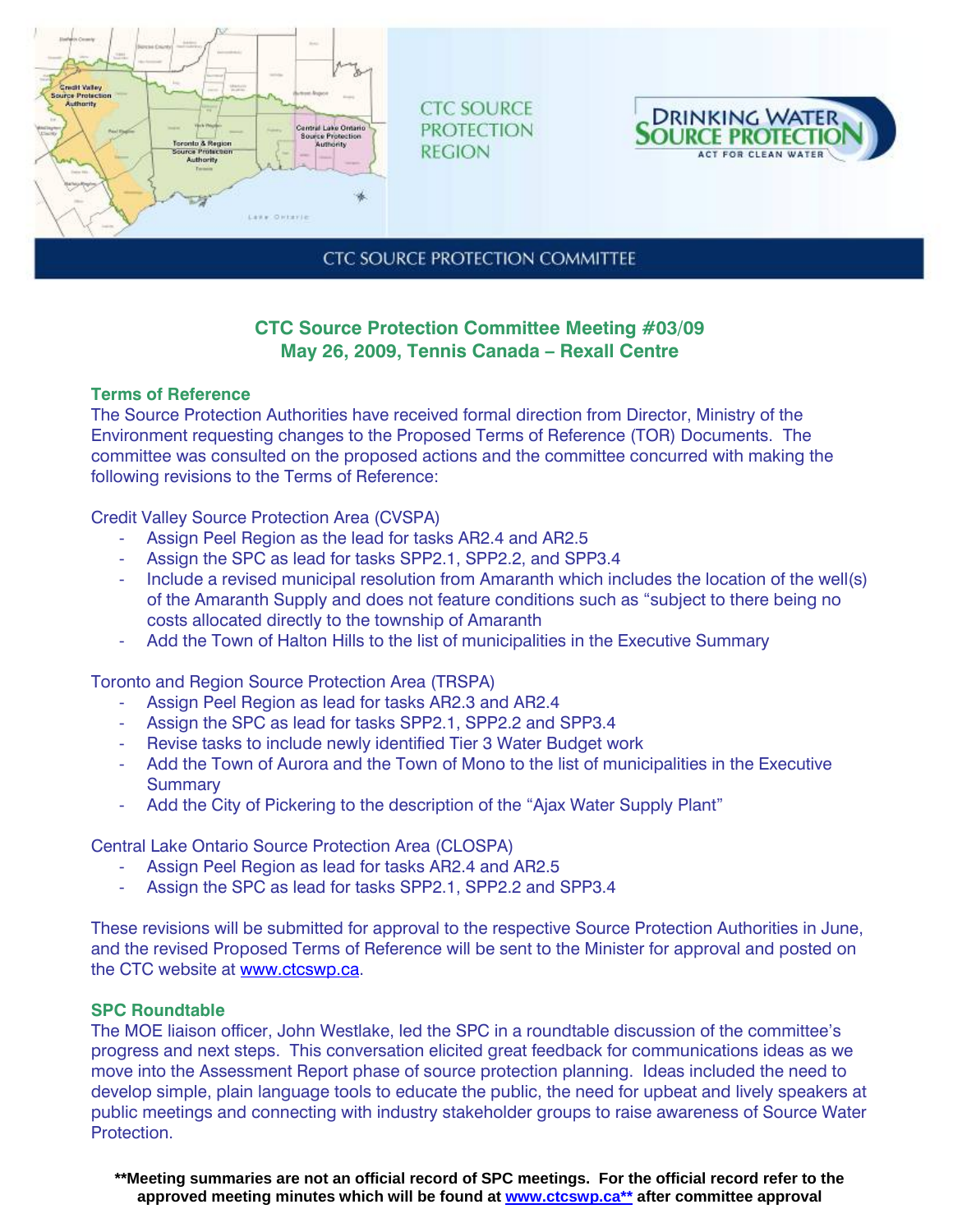

**CTC SOURCE PROTECTION REGION** 



**CTC SOURCE PROTECTION COMMITTEE** 

# **CTC Source Protection Committee Meeting #03/09 May 26, 2009, Tennis Canada – Rexall Centre**

## **Terms of Reference**

The Source Protection Authorities have received formal direction from Director, Ministry of the Environment requesting changes to the Proposed Terms of Reference (TOR) Documents. The committee was consulted on the proposed actions and the committee concurred with making the following revisions to the Terms of Reference:

Credit Valley Source Protection Area (CVSPA)

- Assign Peel Region as the lead for tasks AR2.4 and AR2.5
- Assign the SPC as lead for tasks SPP2.1, SPP2.2, and SPP3.4
- Include a revised municipal resolution from Amaranth which includes the location of the well(s) of the Amaranth Supply and does not feature conditions such as "subject to there being no costs allocated directly to the township of Amaranth
- Add the Town of Halton Hills to the list of municipalities in the Executive Summary

Toronto and Region Source Protection Area (TRSPA)

- Assign Peel Region as lead for tasks AR2.3 and AR2.4
- Assign the SPC as lead for tasks SPP2.1, SPP2.2 and SPP3.4
- Revise tasks to include newly identified Tier 3 Water Budget work
- Add the Town of Aurora and the Town of Mono to the list of municipalities in the Executive **Summary**
- Add the City of Pickering to the description of the "Ajax Water Supply Plant"

Central Lake Ontario Source Protection Area (CLOSPA)

- Assign Peel Region as lead for tasks AR2.4 and AR2.5
- Assign the SPC as lead for tasks SPP2.1, SPP2.2 and SPP3.4

These revisions will be submitted for approval to the respective Source Protection Authorities in June, and the revised Proposed Terms of Reference will be sent to the Minister for approval and posted on the CTC website at www.ctcswp.ca.

## **SPC Roundtable**

The MOE liaison officer, John Westlake, led the SPC in a roundtable discussion of the committee's progress and next steps. This conversation elicited great feedback for communications ideas as we move into the Assessment Report phase of source protection planning. Ideas included the need to develop simple, plain language tools to educate the public, the need for upbeat and lively speakers at public meetings and connecting with industry stakeholder groups to raise awareness of Source Water Protection.

**\*\*Meeting summaries are not an official record of SPC meetings. For the official record refer to the approved meeting minutes which will be found at www.ctcswp.ca\*\* after committee approval**